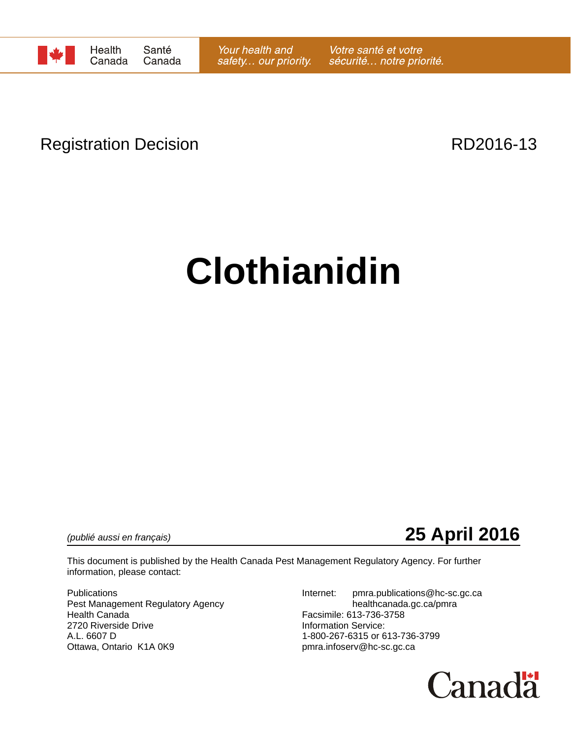

## Registration Decision **RD2016-13**

# **Clothianidin**

*(publié aussi en français)* **25 April 2016**

This document is published by the Health Canada Pest Management Regulatory Agency. For further information, please contact:

Pest Management Regulatory Agency healthcanada.gc.ca/pmra Health Canada Facsimile: 613-736-3758 2720 Riverside Drive<br>
A.L. 6607 D<br>
A.L. 6607 D Ottawa, Ontario K1A 0K9 pmra.infoserv@hc-sc.gc.ca

Publications **Internet:** pmra.publications @hc-sc.gc.ca 1-800-267-6315 or 613-736-3799

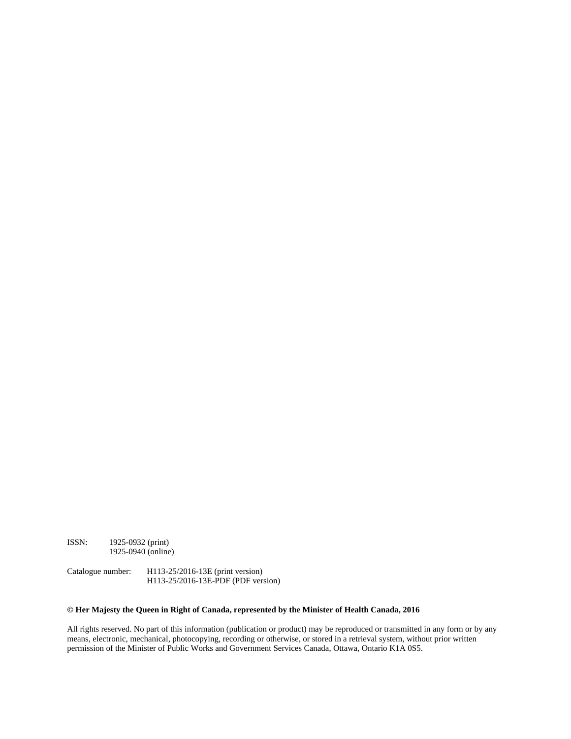ISSN: 1925-0932 (print) 1925-0940 (online)

Catalogue number: H113-25/2016-13E (print version) H113-25/2016-13E-PDF (PDF version)

#### **© Her Majesty the Queen in Right of Canada, represented by the Minister of Health Canada, 2016**

All rights reserved. No part of this information (publication or product) may be reproduced or transmitted in any form or by any means, electronic, mechanical, photocopying, recording or otherwise, or stored in a retrieval system, without prior written permission of the Minister of Public Works and Government Services Canada, Ottawa, Ontario K1A 0S5.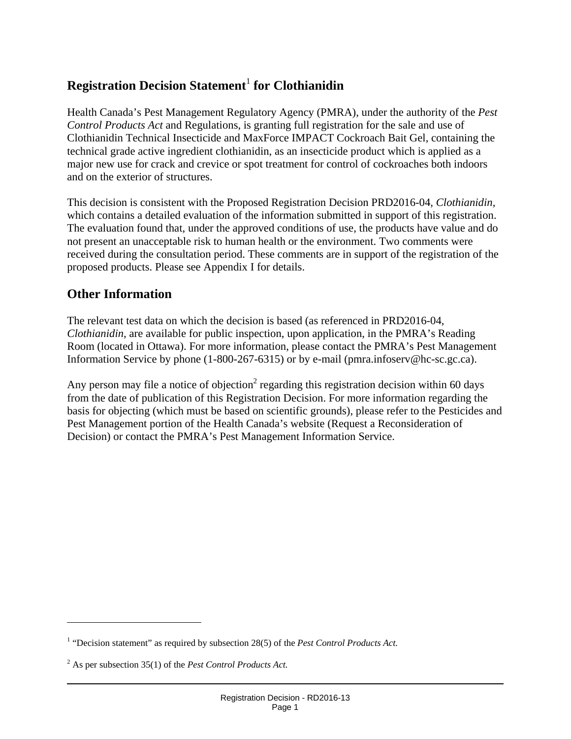### **Registration Decision Statement**<sup>1</sup>  **for Clothianidin**

Health Canada's Pest Management Regulatory Agency (PMRA), under the authority of the *Pest Control Products Act* and Regulations, is granting full registration for the sale and use of Clothianidin Technical Insecticide and MaxForce IMPACT Cockroach Bait Gel, containing the technical grade active ingredient clothianidin, as an insecticide product which is applied as a major new use for crack and crevice or spot treatment for control of cockroaches both indoors and on the exterior of structures.

This decision is consistent with the Proposed Registration Decision PRD2016-04, *Clothianidin,*  which contains a detailed evaluation of the information submitted in support of this registration. The evaluation found that, under the approved conditions of use, the products have value and do not present an unacceptable risk to human health or the environment. Two comments were received during the consultation period. These comments are in support of the registration of the proposed products. Please see Appendix I for details.

#### **Other Information**

 $\overline{a}$ 

The relevant test data on which the decision is based (as referenced in PRD2016-04, *Clothianidin,* are available for public inspection, upon application, in the PMRA's Reading Room (located in Ottawa). For more information, please contact the PMRA's Pest Management Information Service by phone (1-800-267-6315) or by e-mail (pmra.infoserv@hc-sc.gc.ca).

Any person may file a notice of objection<sup>2</sup> regarding this registration decision within 60 days from the date of publication of this Registration Decision. For more information regarding the basis for objecting (which must be based on scientific grounds), please refer to the Pesticides and Pest Management portion of the Health Canada's website (Request a Reconsideration of Decision) or contact the PMRA's Pest Management Information Service.

<sup>&</sup>lt;sup>1</sup> "Decision statement" as required by subsection 28(5) of the *Pest Control Products Act*.

<sup>2</sup> As per subsection 35(1) of the *Pest Control Products Act.*